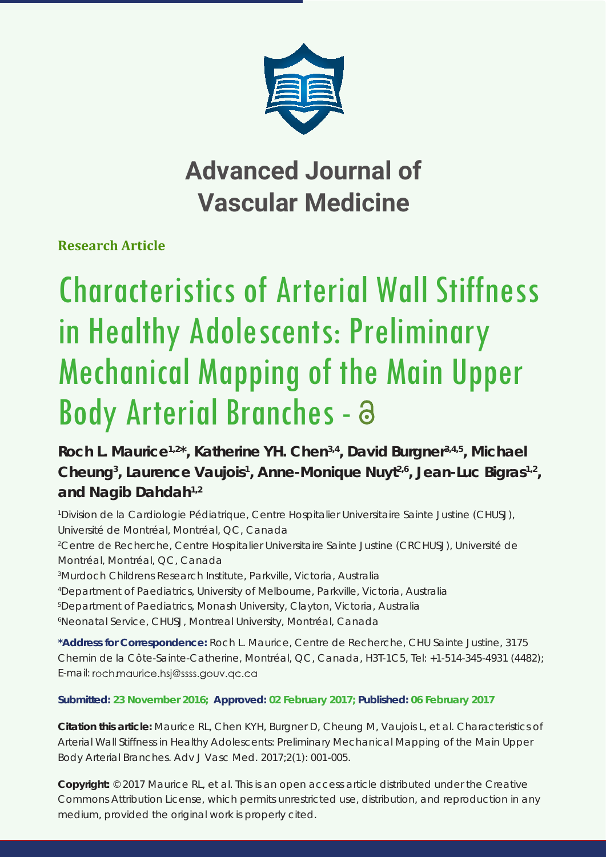

## **Advanced Journal of Vascular Medicine**

**Research Article**

# Characteristics of Arterial Wall Stiffness in Healthy Adolescents: Preliminary Mechanical Mapping of the Main Upper Body Arterial Branches - a

Roch L. Maurice<sup>1,2\*</sup>, Katherine YH. Chen<sup>3,4</sup>, David Burgner<sup>3,4,5</sup>, Michael Cheung<sup>3</sup>, Laurence Vaujois<sup>1</sup>, Anne-Monique Nuyt<sup>2,6</sup>, Jean-Luc Bigras<sup>1,2</sup>, **and Nagib Dahdah1,2**

*1 Division de la Cardiologie Pédiatrique, Centre Hospitalier Universitaire Sainte Justine (CHUSJ), Université de Montréal, Montréal, QC, Canada*

*2 Centre de Recherche, Centre Hospitalier Universitaire Sainte Justine (CRCHUSJ), Université de Montréal, Montréal, QC, Canada*

*3 Murdoch Childrens Research Institute, Parkville, Victoria, Australia*

*4 Department of Paediatrics, University of Melbourne, Parkville, Victoria, Australia*

*5 Department of Paediatrics, Monash University, Clayton, Victoria, Australia*

*6 Neonatal Service, CHUSJ, Montreal University, Montréal, Canada*

**\*Address for Correspondence:** Roch L. Maurice, Centre de Recherche, CHU Sainte Justine, 3175 Chemin de la Côte-Sainte-Catherine, Montréal, QC, Canada, H3T-1C5, Tel: +1-514-345-4931 (4482); E-mail: roch.maurice.hsj@ssss.gouv.gc.ca

#### **Submitted: 23 November 2016; Approved: 02 February 2017; Published: 06 February 2017**

**Citation this article:** Maurice RL, Chen KYH, Burgner D, Cheung M, Vaujois L, et al. Characteristics of Arterial Wall Stiffness in Healthy Adolescents: Preliminary Mechanical Mapping of the Main Upper Body Arterial Branches. Adv J Vasc Med. 2017;2(1): 001-005.

**Copyright:** © 2017 Maurice RL, et al. This is an open access article distributed under the Creative Commons Attribution License, which permits unrestricted use, distribution, and reproduction in any medium, provided the original work is properly cited.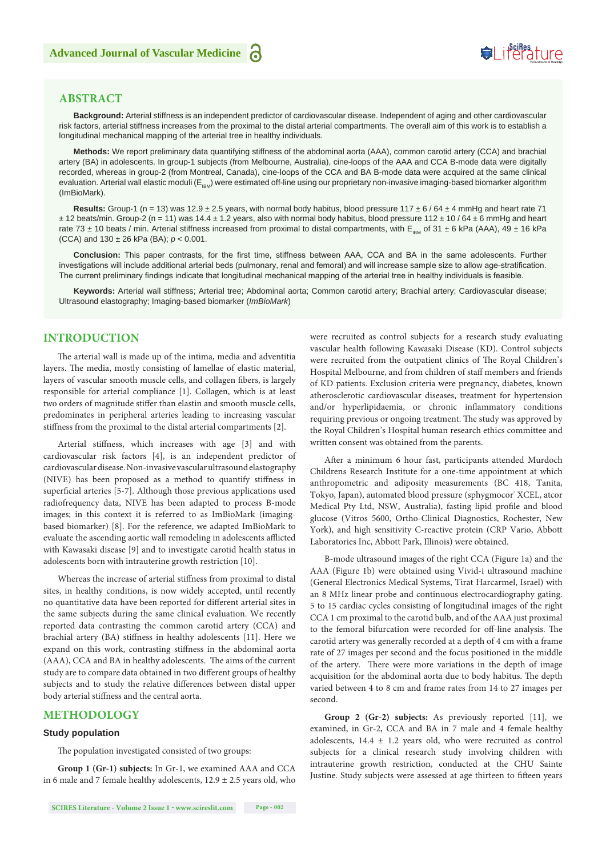### Suifes ture

#### **ABSTRACT**

**Background:** Arterial stiffness is an independent predictor of cardiovascular disease. Independent of aging and other cardiovascular risk factors, arterial stiffness increases from the proximal to the distal arterial compartments. The overall aim of this work is to establish a longitudinal mechanical mapping of the arterial tree in healthy individuals.

**Methods:** We report preliminary data quantifying stiffness of the abdominal aorta (AAA), common carotid artery (CCA) and brachial artery (BA) in adolescents. In group-1 subjects (from Melbourne, Australia), cine-loops of the AAA and CCA B-mode data were digitally recorded, whereas in group-2 (from Montreal, Canada), cine-loops of the CCA and BA B-mode data were acquired at the same clinical evaluation. Arterial wall elastic moduli (E<sub>IBM</sub>) were estimated off-line using our proprietary non-invasive imaging-based biomarker algorithm (ImBioMark).

**Results:** Group-1 (n = 13) was 12.9 ± 2.5 years, with normal body habitus, blood pressure 117 ± 6 / 64 ± 4 mmHg and heart rate 71  $\pm$  12 beats/min. Group-2 (n = 11) was 14.4  $\pm$  1.2 years, also with normal body habitus, blood pressure 112  $\pm$  10 / 64  $\pm$  6 mmHg and heart rate 73 ± 10 beats / min. Arterial stiffness increased from proximal to distal compartments, with  $E_{\text{gas}}$  of 31 ± 6 kPa (AAA), 49 ± 16 kPa (CCA) and 130 ± 26 kPa (BA); *p* < 0.001.

**Conclusion:** This paper contrasts, for the first time, stiffness between AAA, CCA and BA in the same adolescents. Further investigations will include additional arterial beds (pulmonary, renal and femoral) and will increase sample size to allow age-stratification. The current preliminary findings indicate that longitudinal mechanical mapping of the arterial tree in healthy individuals is feasible.

**Keywords:** Arterial wall stiffness; Arterial tree; Abdominal aorta; Common carotid artery; Brachial artery; Cardiovascular disease; Ultrasound elastography; Imaging-based biomarker (*ImBioMark*)

#### **INTRODUCTION**

The arterial wall is made up of the intima, media and adventitia layers. The media, mostly consisting of lamellae of elastic material, layers of vascular smooth muscle cells, and collagen fibers, is largely responsible for arterial compliance [1]. Collagen, which is at least two orders of magnitude stiffer than elastin and smooth muscle cells, predominates in peripheral arteries leading to increasing vascular stiffness from the proximal to the distal arterial compartments [2].

Arterial stiffness, which increases with age [3] and with cardiovascular risk factors [4], is an independent predictor of cardiovascular disease. Non-invasive vascular ultrasound elastography (NIVE) has been proposed as a method to quantify stiffness in superficial arteries [5-7]. Although those previous applications used radiofrequency data, NIVE has been adapted to process B-mode images; in this context it is referred to as ImBioMark (imagingbased biomarker) [8]. For the reference, we adapted ImBioMark to evaluate the ascending aortic wall remodeling in adolescents afflicted with Kawasaki disease [9] and to investigate carotid health status in adolescents born with intrauterine growth restriction [10].

Whereas the increase of arterial stiffness from proximal to distal sites, in healthy conditions, is now widely accepted, until recently no quantitative data have been reported for different arterial sites in the same subjects during the same clinical evaluation. We recently reported data contrasting the common carotid artery (CCA) and brachial artery (BA) stiffness in healthy adolescents [11]. Here we expand on this work, contrasting stiffness in the abdominal aorta (AAA), CCA and BA in healthy adolescents. The aims of the current study are to compare data obtained in two different groups of healthy subjects and to study the relative differences between distal upper body arterial stiffness and the central aorta.

#### **METHODOLOGY**

#### **Study population**

The population investigated consisted of two groups:

**Group 1 (Gr-1) subjects:** In Gr-1, we examined AAA and CCA in 6 male and 7 female healthy adolescents,  $12.9 \pm 2.5$  years old, who were recruited as control subjects for a research study evaluating vascular health following Kawasaki Disease (KD). Control subjects were recruited from the outpatient clinics of The Royal Children's Hospital Melbourne, and from children of staff members and friends of KD patients. Exclusion criteria were pregnancy, diabetes, known atherosclerotic cardiovascular diseases, treatment for hypertension and/or hyperlipidaemia, or chronic inflammatory conditions requiring previous or ongoing treatment. The study was approved by the Royal Children's Hospital human research ethics committee and written consent was obtained from the parents.

After a minimum 6 hour fast, participants attended Murdoch Childrens Research Institute for a one-time appointment at which anthropometric and adiposity measurements (BC 418, Tanita, Tokyo, Japan), automated blood pressure (sphygmocor' XCEL, atcor Medical Pty Ltd, NSW, Australia), fasting lipid profile and blood glucose (Vitros 5600, Ortho-Clinical Diagnostics, Rochester, New York), and high sensitivity C-reactive protein (CRP Vario, Abbott Laboratories Inc, Abbott Park, Illinois) were obtained.

B-mode ultrasound images of the right CCA (Figure 1a) and the AAA (Figure 1b) were obtained using Vivid-i ultrasound machine (General Electronics Medical Systems, Tirat Harcarmel, Israel) with an 8 MHz linear probe and continuous electrocardiography gating. 5 to 15 cardiac cycles consisting of longitudinal images of the right CCA 1 cm proximal to the carotid bulb, and of the AAA just proximal to the femoral bifurcation were recorded for off-line analysis. The carotid artery was generally recorded at a depth of 4 cm with a frame rate of 27 images per second and the focus positioned in the middle of the artery. There were more variations in the depth of image acquisition for the abdominal aorta due to body habitus. The depth varied between 4 to 8 cm and frame rates from 14 to 27 images per second.

**Group 2 (Gr-2) subjects:** As previously reported [11], we examined, in Gr-2, CCA and BA in 7 male and 4 female healthy adolescents,  $14.4 \pm 1.2$  years old, who were recruited as control subjects for a clinical research study involving children with intrauterine growth restriction, conducted at the CHU Sainte Justine. Study subjects were assessed at age thirteen to fifteen years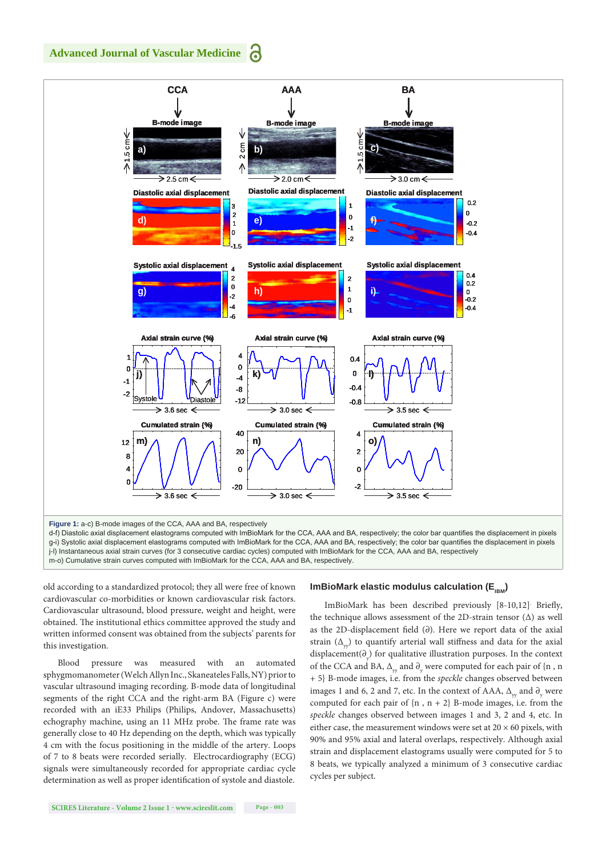**Advanced Journal of Vascular Medicine**



m-o) Cumulative strain curves computed with ImBioMark for the CCA, AAA and BA, respectively.

old according to a standardized protocol; they all were free of known cardiovascular co-morbidities or known cardiovascular risk factors. Cardiovascular ultrasound, blood pressure, weight and height, were obtained. The institutional ethics committee approved the study and written informed consent was obtained from the subjects' parents for this investigation.

Blood pressure was measured with an automated sphygmomanometer (Welch Allyn Inc., Skaneateles Falls, NY) prior to vascular ultrasound imaging recording. B-mode data of longitudinal segments of the right CCA and the right-arm BA (Figure c) were recorded with an iE33 Philips (Philips, Andover, Massachusetts) echography machine, using an 11 MHz probe. The frame rate was generally close to 40 Hz depending on the depth, which was typically 4 cm with the focus positioning in the middle of the artery. Loops of 7 to 8 beats were recorded serially. Electrocardiography (ECG) signals were simultaneously recorded for appropriate cardiac cycle determination as well as proper identification of systole and diastole.

#### **ImBioMark elastic modulus calculation (E<sub>IBM</sub>)**

ImBioMark has been described previously [8-10,12]. Briefly, the technique allows assessment of the 2D-strain tensor (∆) as well as the 2D-displacement field (∂). Here we report data of the axial strain  $(\Delta_{y})$  to quantify arterial wall stiffness and data for the axial displacement( $\partial_y$ ) for qualitative illustration purposes. In the context of the CCA and BA,  $\Delta_{\rm yr}$  and  $\partial_{\rm y}$  were computed for each pair of {n , n + 5} B-mode images, i.e. from the *speckle* changes observed between images 1 and 6, 2 and 7, etc. In the context of AAA,  $\Delta_{yy}$  and  $\partial_{y}$  were computed for each pair of  ${n, n+2}$  B-mode images, i.e. from the *speckle* changes observed between images 1 and 3, 2 and 4, etc. In either case, the measurement windows were set at  $20 \times 60$  pixels, with 90% and 95% axial and lateral overlaps, respectively. Although axial strain and displacement elastograms usually were computed for 5 to 8 beats, we typically analyzed a minimum of 3 consecutive cardiac cycles per subject.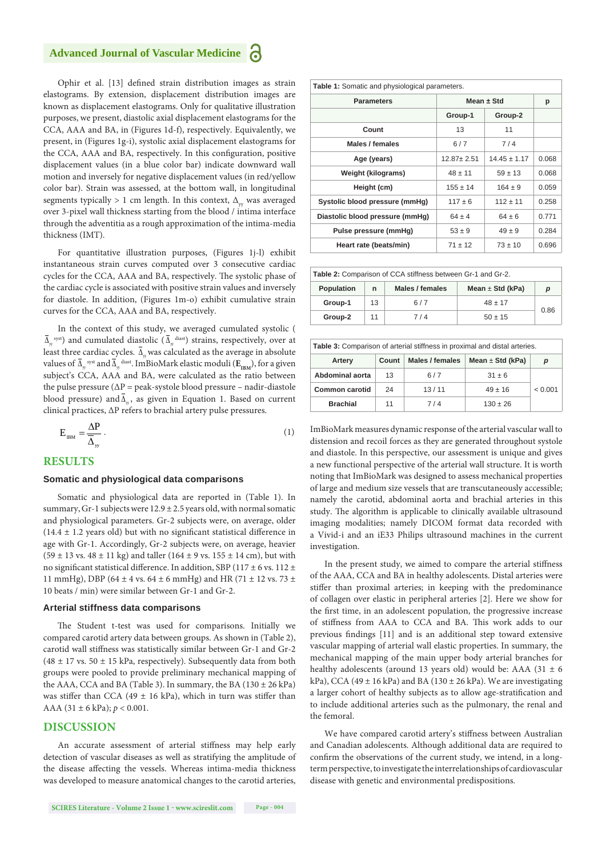Ophir et al. [13] defined strain distribution images as strain elastograms. By extension, displacement distribution images are known as displacement elastograms. Only for qualitative illustration purposes, we present, diastolic axial displacement elastograms for the CCA, AAA and BA, in (Figures 1d-f), respectively. Equivalently, we present, in (Figures 1g-i), systolic axial displacement elastograms for the CCA, AAA and BA, respectively. In this configuration, positive displacement values (in a blue color bar) indicate downward wall motion and inversely for negative displacement values (in red/yellow color bar). Strain was assessed, at the bottom wall, in longitudinal segments typically > 1 cm length. In this context,  $\Delta_{\text{vv}}$  was averaged over 3-pixel wall thickness starting from the blood / intima interface through the adventitia as a rough approximation of the intima-media thickness (IMT).

For quantitative illustration purposes, (Figures 1j-l) exhibit instantaneous strain curves computed over 3 consecutive cardiac cycles for the CCA, AAA and BA, respectively. The systolic phase of the cardiac cycle is associated with positive strain values and inversely for diastole. In addition, (Figures 1m-o) exhibit cumulative strain curves for the CCA, AAA and BA, respectively.

In the context of this study, we averaged cumulated systolic (  $\Delta_{\rm w}^{\rm syst}$ ) and cumulated diastolic ( $\Delta_{\rm w}^{\rm dust}$ ) strains, respectively, over at least three cardiac cycles.  $\overline{\Delta}_{w}$  was calculated as the average in absolute values of  $\Delta_{\rm y}^{\rm syst}$  and  $\Delta_{\rm y}^{\rm data}$ . ImBioMark elastic moduli ( $\rm E_{\rm IBM}^{\rm}$ ), for a given subject's CCA, AAA and BA, were calculated as the ratio between the pulse pressure ( $\Delta P$  = peak-systole blood pressure – nadir-diastole blood pressure) and  $\overline{\Delta}_{w}$ , as given in Equation 1. Based on current clinical practices, ∆P refers to brachial artery pulse pressures.

$$
E_{HM} = \frac{\Delta P}{\overline{\Delta}_{yy}}\,. \tag{1}
$$

#### **RESULTS**

#### **Somatic and physiological data comparisons**

Somatic and physiological data are reported in (Table 1). In summary, Gr-1 subjects were  $12.9 \pm 2.5$  years old, with normal somatic and physiological parameters. Gr-2 subjects were, on average, older  $(14.4 \pm 1.2 \text{ years old})$  but with no significant statistical difference in age with Gr-1. Accordingly, Gr-2 subjects were, on average, heavier  $(59 \pm 13 \text{ vs. } 48 \pm 11 \text{ kg})$  and taller  $(164 \pm 9 \text{ vs. } 155 \pm 14 \text{ cm})$ , but with no significant statistical difference. In addition, SBP (117  $\pm$  6 vs. 112  $\pm$ 11 mmHg), DBP (64  $\pm$  4 vs. 64  $\pm$  6 mmHg) and HR (71  $\pm$  12 vs. 73  $\pm$ 10 beats / min) were similar between Gr-1 and Gr-2.

#### **Arterial stiffness data comparisons**

The Student t-test was used for comparisons. Initially we compared carotid artery data between groups. As shown in (Table 2), carotid wall stiffness was statistically similar between Gr-1 and Gr-2 (48  $\pm$  17 vs. 50  $\pm$  15 kPa, respectively). Subsequently data from both groups were pooled to provide preliminary mechanical mapping of the AAA, CCA and BA (Table 3). In summary, the BA ( $130 \pm 26$  kPa) was stiffer than CCA (49  $\pm$  16 kPa), which in turn was stiffer than AAA  $(31 \pm 6 \text{ kPa})$ ;  $p < 0.001$ .

#### **DISCUSSION**

An accurate assessment of arterial stiffness may help early detection of vascular diseases as well as stratifying the amplitude of the disease affecting the vessels. Whereas intima-media thickness was developed to measure anatomical changes to the carotid arteries,

| Table 1: Somatic and physiological parameters. |                  |                  |       |  |  |  |
|------------------------------------------------|------------------|------------------|-------|--|--|--|
| <b>Parameters</b>                              | Mean $\pm$ Std   |                  | р     |  |  |  |
|                                                | Group-1          | Group-2          |       |  |  |  |
| Count                                          | 13               | 11               |       |  |  |  |
| Males / females                                | 6/7              | 7/4              |       |  |  |  |
| Age (years)                                    | $12.87 \pm 2.51$ | $14.45 \pm 1.17$ | 0.068 |  |  |  |
| <b>Weight (kilograms)</b>                      | $48 \pm 11$      | $59 \pm 13$      | 0.068 |  |  |  |
| Height (cm)                                    | $155 \pm 14$     | $164 \pm 9$      | 0.059 |  |  |  |
| Systolic blood pressure (mmHg)                 | $117 \pm 6$      | $112 + 11$       | 0.258 |  |  |  |
| Diastolic blood pressure (mmHg)                | $64 \pm 4$       | $64 \pm 6$       | 0.771 |  |  |  |
| Pulse pressure (mmHq)                          | $53 \pm 9$       | $49 \pm 9$       | 0.284 |  |  |  |
| Heart rate (beats/min)                         | $71 \pm 12$      | $73 \pm 10$      | 0.696 |  |  |  |

**Table 2:** Comparison of CCA stiffness between Gr-1 and Gr-2.

| <b>Population</b> | n  | Males / females | Mean $\pm$ Std (kPa) | D    |
|-------------------|----|-----------------|----------------------|------|
| Group-1           | 13 | 6/7             | $48 \pm 17$          |      |
| Group-2           |    | 7 / 4           | $50 \pm 15$          | 0.86 |

| <b>Table 3:</b> Comparison of arterial stiffness in proximal and distal arteries. |       |                 |                      |         |  |  |
|-----------------------------------------------------------------------------------|-------|-----------------|----------------------|---------|--|--|
| Artery                                                                            | Count | Males / females | Mean $\pm$ Std (kPa) | р       |  |  |
| Abdominal aorta                                                                   | 13    | 6/7             | $31 \pm 6$           |         |  |  |
| Common carotid                                                                    | 24    | 13/11           | $49 \pm 16$          | < 0.001 |  |  |
| <b>Brachial</b>                                                                   | 11    | 7/4             | $130 \pm 26$         |         |  |  |

ImBioMark measures dynamic response of the arterial vascular wall to distension and recoil forces as they are generated throughout systole and diastole. In this perspective, our assessment is unique and gives a new functional perspective of the arterial wall structure. It is worth noting that ImBioMark was designed to assess mechanical properties of large and medium size vessels that are transcutaneously accessible; namely the carotid, abdominal aorta and brachial arteries in this study. The algorithm is applicable to clinically available ultrasound imaging modalities; namely DICOM format data recorded with a Vivid-i and an iE33 Philips ultrasound machines in the current investigation.

In the present study, we aimed to compare the arterial stiffness of the AAA, CCA and BA in healthy adolescents. Distal arteries were stiffer than proximal arteries; in keeping with the predominance of collagen over elastic in peripheral arteries [2]. Here we show for the first time, in an adolescent population, the progressive increase of stiffness from AAA to CCA and BA. This work adds to our previous findings [11] and is an additional step toward extensive vascular mapping of arterial wall elastic properties. In summary, the mechanical mapping of the main upper body arterial branches for healthy adolescents (around 13 years old) would be: AAA (31  $\pm$  6 kPa), CCA (49  $\pm$  16 kPa) and BA (130  $\pm$  26 kPa). We are investigating a larger cohort of healthy subjects as to allow age-stratification and to include additional arteries such as the pulmonary, the renal and the femoral.

We have compared carotid artery's stiffness between Australian and Canadian adolescents. Although additional data are required to confirm the observations of the current study, we intend, in a longterm perspective, to investigate the interrelationships of cardiovascular disease with genetic and environmental predispositions.